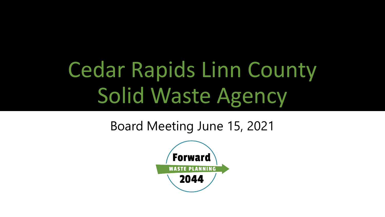# Cedar Rapids Linn County Solid Waste Agency

### Board Meeting June 15, 2021

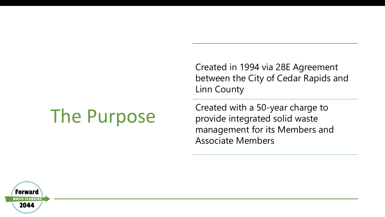## The Purpose

Created in 1994 via 28E Agreement between the City of Cedar Rapids and Linn County

Created with a 50-year charge to provide integrated solid waste management for its Members and Associate Members

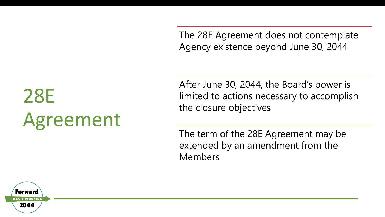The 28E Agreement does not contemplate Agency existence beyond June 30, 2044

28E Agreement After June 30, 2044, the Board's power is limited to actions necessary to accomplish the closure objectives

The term of the 28E Agreement may be extended by an amendment from the Members

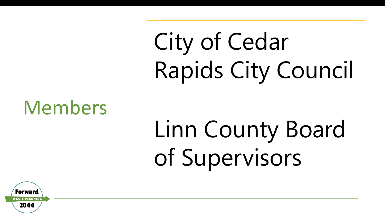# City of Cedar Rapids City Council

## Members

# Linn County Board of Supervisors

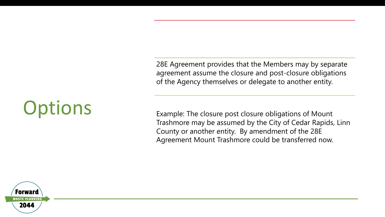28E Agreement provides that the Members may by separate agreement assume the closure and post-closure obligations of the Agency themselves or delegate to another entity.

Example: The closure post closure obligations of Mount Trashmore may be assumed by the City of Cedar Rapids, Linn County or another entity. By amendment of the 28E Agreement Mount Trashmore could be transferred now.



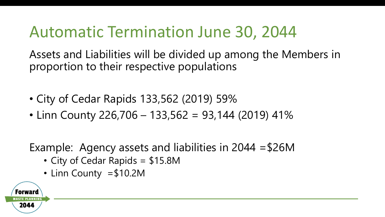## Automatic Termination June 30, 2044

Assets and Liabilities will be divided up among the Members in proportion to their respective populations

- City of Cedar Rapids 133,562 (2019) 59%
- Linn County 226,706 133,562 = 93,144 (2019) 41%

Example: Agency assets and liabilities in 2044 =\$26M

- City of Cedar Rapids = \$15.8M
- Linn County =\$10.2M

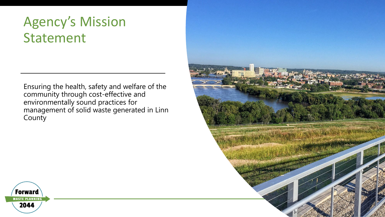### Agency's Mission Statement

Ensuring the health, safety and welfare of the community through cost-effective and environmentally sound practices for management of solid waste generated in Linn **County** 



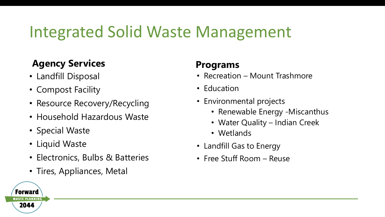## Integrated Solid Waste Management

#### **Agency Services**

- Landfill Disposal
- Compost Facility
- Resource Recovery/Recycling
- Household Hazardous Waste
- Special Waste
- Liquid Waste
- Electronics, Bulbs & Batteries
- Tires, Appliances, Metal

#### **Programs**

- Recreation Mount Trashmore
- Education
- Environmental projects
	- Renewable Energy -Miscanthus
	- Water Quality Indian Creek
	- Wetlands
- Landfill Gas to Energy
- Free Stuff Room Reuse

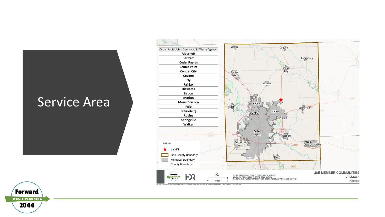#### Service Area



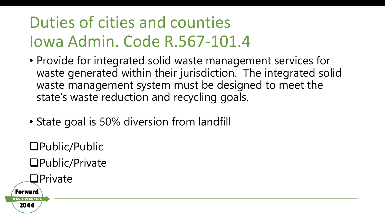## Duties of cities and counties Iowa Admin. Code R.567-101.4

- Provide for integrated solid waste management services for waste generated within their jurisdiction. The integrated solid waste management system must be designed to meet the state's waste reduction and recycling goals.
- State goal is 50% diversion from landfill

Public/Public Public/Private

**OPrivate** 

Forward

2044